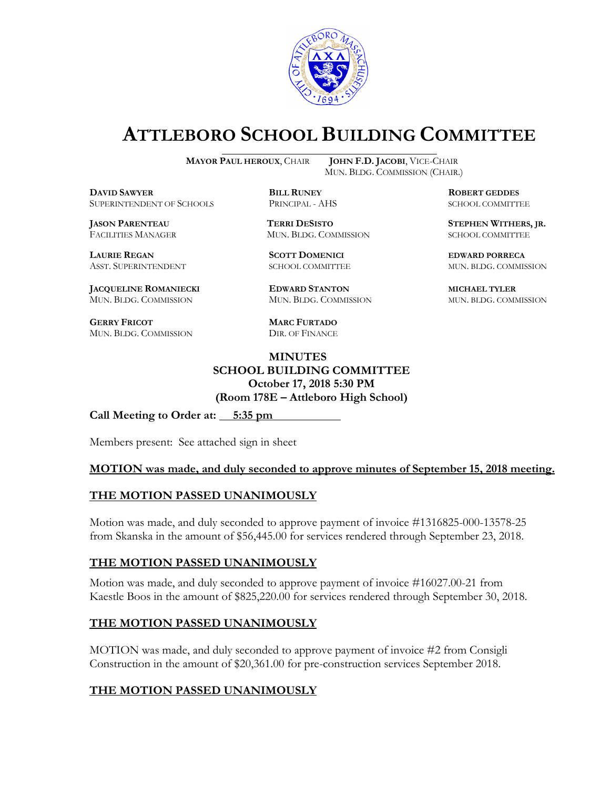

# **ATTLEBORO SCHOOL BUILDING COMMITTEE**

**MAYOR PAUL HEROUX**, CHAIR **JOHN F.D. JACOBI**, VICE-CHAIR

**DAVID SAWYER BILL RUNEY ROBERT GEDDES** SUPERINTENDENT OF SCHOOLS PRINCIPAL - AHS SCHOOL COMMITTEE

FACILITIES MANAGER MUN. BLDG. COMMISSION SCHOOL COMMITTEE

**LAURIE REGAN SCOTT DOMENICI EDWARD PORRECA**

**JACQUELINE ROMANIECKI EDWARD STANTON MICHAEL TYLER** MUN. BLDG. COMMISSION MUN. BLDG. COMMISSION MUN. BLDG. COMMISSION

**GERRY FRICOT MARC FURTADO** MUN. BLDG. COMMISSION DIR. OF FINANCE

MUN. BLDG. COMMISSION (CHAIR.)

**JASON PARENTEAU TERRI DESISTO STEPHEN WITHERS, JR.**

ASST. SUPERINTENDENT SCHOOL COMMITTEE MUN. BLDG. COMMISSION

# **MINUTES SCHOOL BUILDING COMMITTEE October 17, 2018 5:30 PM (Room 178E – Attleboro High School)**

Call Meeting to Order at: 5:35 pm

Members present: See attached sign in sheet

#### **MOTION was made, and duly seconded to approve minutes of September 15, 2018 meeting.**

#### **THE MOTION PASSED UNANIMOUSLY**

Motion was made, and duly seconded to approve payment of invoice #1316825-000-13578-25 from Skanska in the amount of \$56,445.00 for services rendered through September 23, 2018.

# **THE MOTION PASSED UNANIMOUSLY**

Motion was made, and duly seconded to approve payment of invoice #16027.00-21 from Kaestle Boos in the amount of \$825,220.00 for services rendered through September 30, 2018.

# **THE MOTION PASSED UNANIMOUSLY**

MOTION was made, and duly seconded to approve payment of invoice #2 from Consigli Construction in the amount of \$20,361.00 for pre-construction services September 2018.

# **THE MOTION PASSED UNANIMOUSLY**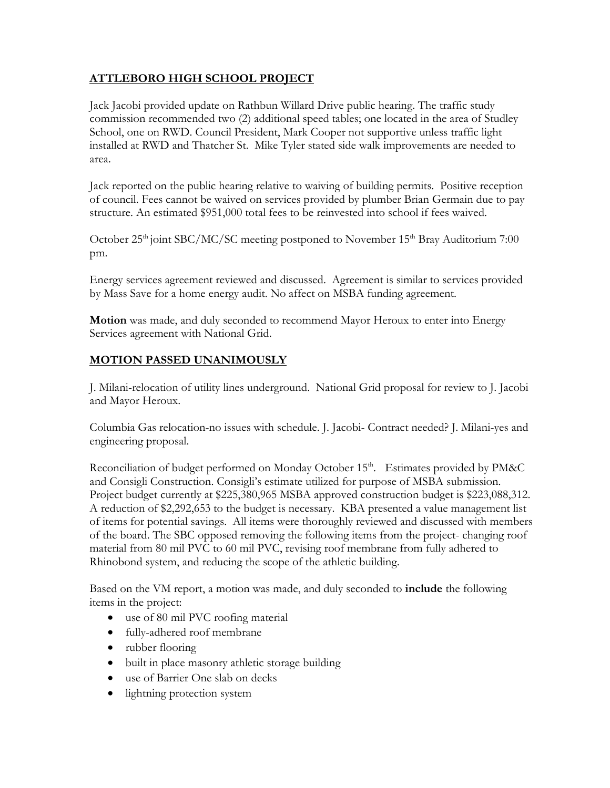# **ATTLEBORO HIGH SCHOOL PROJECT**

Jack Jacobi provided update on Rathbun Willard Drive public hearing. The traffic study commission recommended two (2) additional speed tables; one located in the area of Studley School, one on RWD. Council President, Mark Cooper not supportive unless traffic light installed at RWD and Thatcher St. Mike Tyler stated side walk improvements are needed to area.

Jack reported on the public hearing relative to waiving of building permits. Positive reception of council. Fees cannot be waived on services provided by plumber Brian Germain due to pay structure. An estimated \$951,000 total fees to be reinvested into school if fees waived.

October  $25<sup>th</sup>$  joint SBC/MC/SC meeting postponed to November  $15<sup>th</sup>$  Bray Auditorium 7:00 pm.

Energy services agreement reviewed and discussed. Agreement is similar to services provided by Mass Save for a home energy audit. No affect on MSBA funding agreement.

**Motion** was made, and duly seconded to recommend Mayor Heroux to enter into Energy Services agreement with National Grid.

# **MOTION PASSED UNANIMOUSLY**

J. Milani-relocation of utility lines underground. National Grid proposal for review to J. Jacobi and Mayor Heroux.

Columbia Gas relocation-no issues with schedule. J. Jacobi- Contract needed? J. Milani-yes and engineering proposal.

Reconciliation of budget performed on Monday October 15<sup>th</sup>. Estimates provided by PM&C and Consigli Construction. Consigli's estimate utilized for purpose of MSBA submission. Project budget currently at \$225,380,965 MSBA approved construction budget is \$223,088,312. A reduction of \$2,292,653 to the budget is necessary. KBA presented a value management list of items for potential savings. All items were thoroughly reviewed and discussed with members of the board. The SBC opposed removing the following items from the project- changing roof material from 80 mil PVC to 60 mil PVC, revising roof membrane from fully adhered to Rhinobond system, and reducing the scope of the athletic building.

Based on the VM report, a motion was made, and duly seconded to **include** the following items in the project:

- use of 80 mil PVC roofing material
- fully-adhered roof membrane
- rubber flooring
- built in place masonry athletic storage building
- use of Barrier One slab on decks
- lightning protection system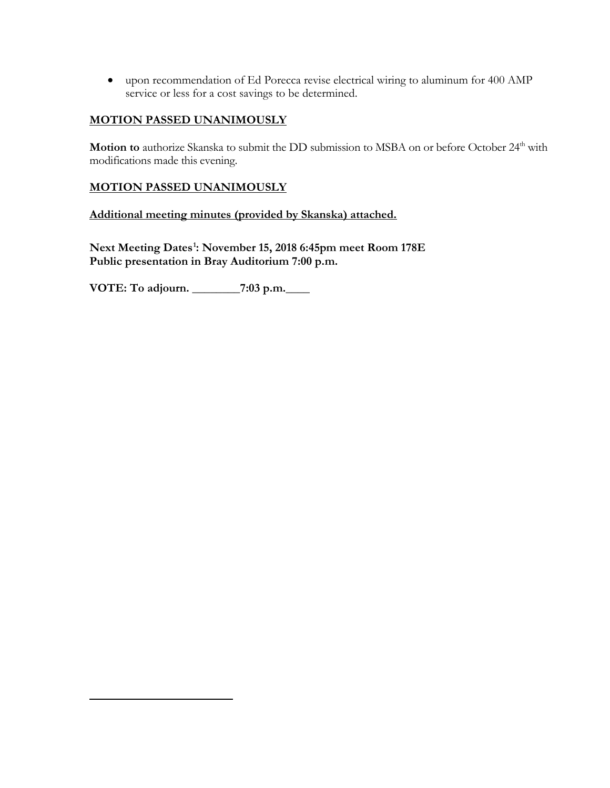• upon recommendation of Ed Porecca revise electrical wiring to aluminum for 400 AMP service or less for a cost savings to be determined.

# **MOTION PASSED UNANIMOUSLY**

Motion to authorize Skanska to submit the DD submission to MSBA on or before October 24<sup>th</sup> with modifications made this evening.

#### **MOTION PASSED UNANIMOUSLY**

**Additional meeting minutes (provided by Skanska) attached.**

**Next Meeting Dates[1](#page-2-0) : November 15, 2018 6:45pm meet Room 178E Public presentation in Bray Auditorium 7:00 p.m.** 

**VOTE: To adjourn. \_\_\_\_\_\_\_\_7:03 p.m.\_\_\_\_** 

<span id="page-2-0"></span> $\overline{a}$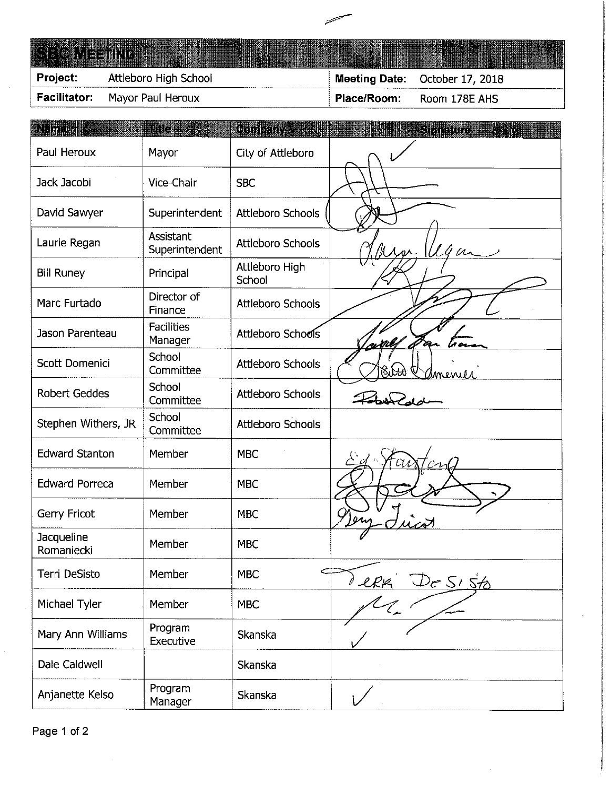| n pro                    | IIVG.                              | $\mathbb{C}$ and $\mathbb{C}$ | <b>Shinadia</b> |
|--------------------------|------------------------------------|-------------------------------|-----------------|
| Paul Heroux              | Mayor                              | City of Attleboro             |                 |
| Jack Jacobi              | Vice-Chair                         | <b>SBC</b>                    |                 |
| David Sawyer             | Superintendent                     | <b>Attleboro Schools</b>      |                 |
| Laurie Regan             | <b>Assistant</b><br>Superintendent | <b>Attleboro Schools</b>      | $\mu$           |
| <b>Bill Runey</b>        | Principal                          | Attleboro High<br>School      |                 |
| Marc Furtado             | Director of<br>Finance             | <b>Attleboro Schools</b>      |                 |
| Jason Parenteau          | <b>Facilities</b><br>Manager       | <b>Attleboro Schools</b>      | ril             |
| Scott Domenici           | School<br>Committee                | <b>Attleboro Schools</b>      | Imenili         |
| <b>Robert Geddes</b>     | School<br>Committee                | <b>Attleboro Schools</b>      |                 |
| Stephen Withers, JR      | School<br>Committee                | Attleboro Schools             |                 |
| <b>Edward Stanton</b>    | Member                             | <b>MBC</b>                    | $\mathcal{U}$   |
| <b>Edward Porreca</b>    | Member                             | <b>MBC</b>                    |                 |
| Gerry Fricot             | Member                             | <b>MBC</b>                    |                 |
| Jacqueline<br>Romaniecki | Member                             | <b>MBC</b>                    |                 |
| Terri DeSisto            | Member                             | <b>MBC</b>                    |                 |
| Michael Tyler            | Member                             | <b>MBC</b>                    | Terri De Sisto  |
| Mary Ann Williams        | Program<br>Executive               | Skanska                       |                 |
| Dale Caldwell            |                                    | Skanska                       |                 |
| Anjanette Kelso          | Program<br>Manager                 | Skanska                       |                 |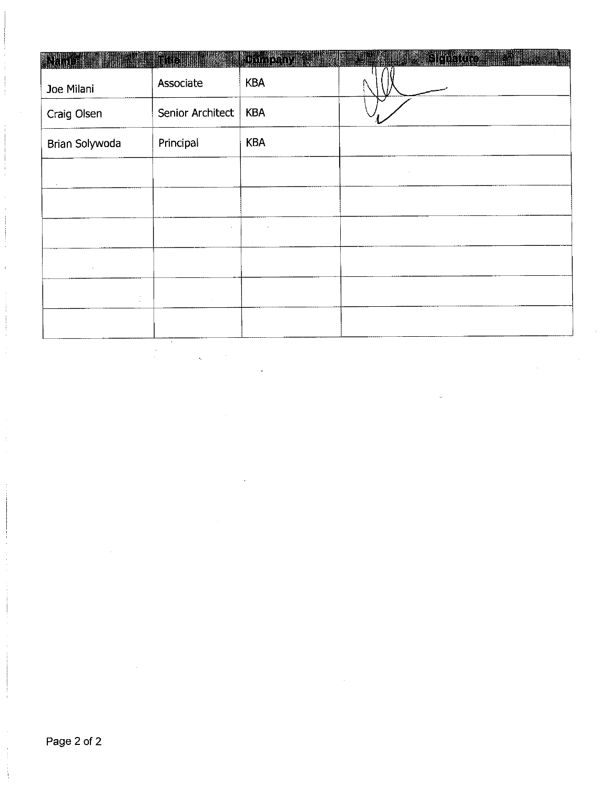| <b>ANGHORA I</b> | <b>MACHEL SAL</b> | จิตออกเรื่องหม | <b>Espretcives</b><br>aksang pangalan<br>M |
|------------------|-------------------|----------------|--------------------------------------------|
| Joe Milani       | Associate         | <b>KBA</b>     |                                            |
| Craig Olsen      | Senior Architect  | <b>KBA</b>     |                                            |
| Brian Solywoda   | Principal         | <b>KBA</b>     |                                            |
|                  |                   |                |                                            |
|                  |                   |                |                                            |
|                  |                   |                |                                            |
|                  |                   |                |                                            |
|                  |                   |                |                                            |
|                  |                   |                |                                            |
|                  |                   |                |                                            |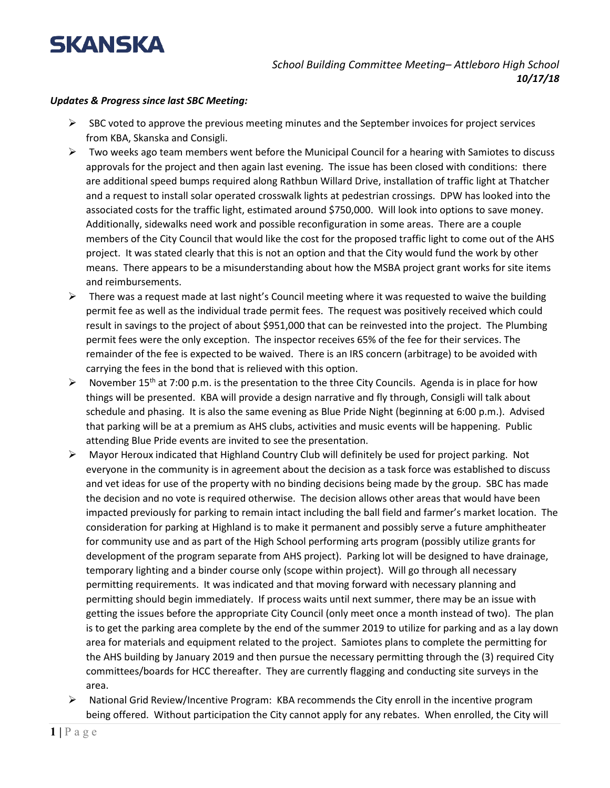

#### *Updates & Progress since last SBC Meeting:*

- $\triangleright$  SBC voted to approve the previous meeting minutes and the September invoices for project services from KBA, Skanska and Consigli.
- $\triangleright$  Two weeks ago team members went before the Municipal Council for a hearing with Samiotes to discuss approvals for the project and then again last evening. The issue has been closed with conditions: there are additional speed bumps required along Rathbun Willard Drive, installation of traffic light at Thatcher and a request to install solar operated crosswalk lights at pedestrian crossings. DPW has looked into the associated costs for the traffic light, estimated around \$750,000. Will look into options to save money. Additionally, sidewalks need work and possible reconfiguration in some areas. There are a couple members of the City Council that would like the cost for the proposed traffic light to come out of the AHS project. It was stated clearly that this is not an option and that the City would fund the work by other means. There appears to be a misunderstanding about how the MSBA project grant works for site items and reimbursements.
- $\triangleright$  There was a request made at last night's Council meeting where it was requested to waive the building permit fee as well as the individual trade permit fees. The request was positively received which could result in savings to the project of about \$951,000 that can be reinvested into the project. The Plumbing permit fees were the only exception. The inspector receives 65% of the fee for their services. The remainder of the fee is expected to be waived. There is an IRS concern (arbitrage) to be avoided with carrying the fees in the bond that is relieved with this option.
- $\triangleright$  November 15<sup>th</sup> at 7:00 p.m. is the presentation to the three City Councils. Agenda is in place for how things will be presented. KBA will provide a design narrative and fly through, Consigli will talk about schedule and phasing. It is also the same evening as Blue Pride Night (beginning at 6:00 p.m.). Advised that parking will be at a premium as AHS clubs, activities and music events will be happening. Public attending Blue Pride events are invited to see the presentation.
- $\triangleright$  Mayor Heroux indicated that Highland Country Club will definitely be used for project parking. Not everyone in the community is in agreement about the decision as a task force was established to discuss and vet ideas for use of the property with no binding decisions being made by the group. SBC has made the decision and no vote is required otherwise. The decision allows other areas that would have been impacted previously for parking to remain intact including the ball field and farmer's market location. The consideration for parking at Highland is to make it permanent and possibly serve a future amphitheater for community use and as part of the High School performing arts program (possibly utilize grants for development of the program separate from AHS project). Parking lot will be designed to have drainage, temporary lighting and a binder course only (scope within project). Will go through all necessary permitting requirements. It was indicated and that moving forward with necessary planning and permitting should begin immediately. If process waits until next summer, there may be an issue with getting the issues before the appropriate City Council (only meet once a month instead of two). The plan is to get the parking area complete by the end of the summer 2019 to utilize for parking and as a lay down area for materials and equipment related to the project. Samiotes plans to complete the permitting for the AHS building by January 2019 and then pursue the necessary permitting through the (3) required City committees/boards for HCC thereafter. They are currently flagging and conducting site surveys in the area.
- $\triangleright$  National Grid Review/Incentive Program: KBA recommends the City enroll in the incentive program being offered. Without participation the City cannot apply for any rebates. When enrolled, the City will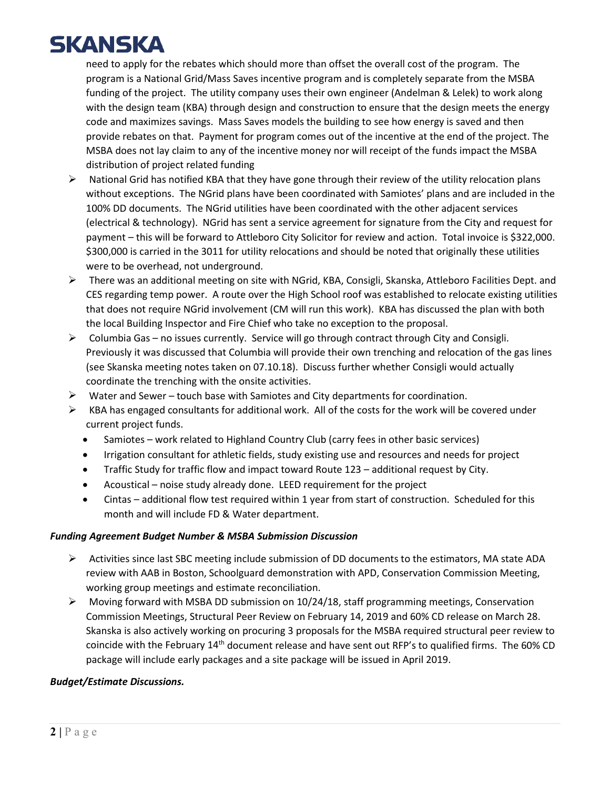# **SKANSKA**

need to apply for the rebates which should more than offset the overall cost of the program. The program is a National Grid/Mass Saves incentive program and is completely separate from the MSBA funding of the project. The utility company uses their own engineer (Andelman & Lelek) to work along with the design team (KBA) through design and construction to ensure that the design meets the energy code and maximizes savings. Mass Saves models the building to see how energy is saved and then provide rebates on that. Payment for program comes out of the incentive at the end of the project. The MSBA does not lay claim to any of the incentive money nor will receipt of the funds impact the MSBA distribution of project related funding

- $\triangleright$  National Grid has notified KBA that they have gone through their review of the utility relocation plans without exceptions. The NGrid plans have been coordinated with Samiotes' plans and are included in the 100% DD documents. The NGrid utilities have been coordinated with the other adjacent services (electrical & technology). NGrid has sent a service agreement for signature from the City and request for payment – this will be forward to Attleboro City Solicitor for review and action. Total invoice is \$322,000. \$300,000 is carried in the 3011 for utility relocations and should be noted that originally these utilities were to be overhead, not underground.
- There was an additional meeting on site with NGrid, KBA, Consigli, Skanska, Attleboro Facilities Dept. and CES regarding temp power. A route over the High School roof was established to relocate existing utilities that does not require NGrid involvement (CM will run this work). KBA has discussed the plan with both the local Building Inspector and Fire Chief who take no exception to the proposal.
- $\triangleright$  Columbia Gas no issues currently. Service will go through contract through City and Consigli. Previously it was discussed that Columbia will provide their own trenching and relocation of the gas lines (see Skanska meeting notes taken on 07.10.18). Discuss further whether Consigli would actually coordinate the trenching with the onsite activities.
- $\triangleright$  Water and Sewer touch base with Samiotes and City departments for coordination.
- $\triangleright$  KBA has engaged consultants for additional work. All of the costs for the work will be covered under current project funds.
	- Samiotes work related to Highland Country Club (carry fees in other basic services)
	- Irrigation consultant for athletic fields, study existing use and resources and needs for project
	- Traffic Study for traffic flow and impact toward Route 123 additional request by City.
	- Acoustical noise study already done. LEED requirement for the project
	- Cintas additional flow test required within 1 year from start of construction. Scheduled for this month and will include FD & Water department.

# *Funding Agreement Budget Number & MSBA Submission Discussion*

- $\triangleright$  Activities since last SBC meeting include submission of DD documents to the estimators, MA state ADA review with AAB in Boston, Schoolguard demonstration with APD, Conservation Commission Meeting, working group meetings and estimate reconciliation.
- Moving forward with MSBA DD submission on 10/24/18, staff programming meetings, Conservation Commission Meetings, Structural Peer Review on February 14, 2019 and 60% CD release on March 28. Skanska is also actively working on procuring 3 proposals for the MSBA required structural peer review to coincide with the February 14th document release and have sent out RFP's to qualified firms. The 60% CD package will include early packages and a site package will be issued in April 2019.

# *Budget/Estimate Discussions.*